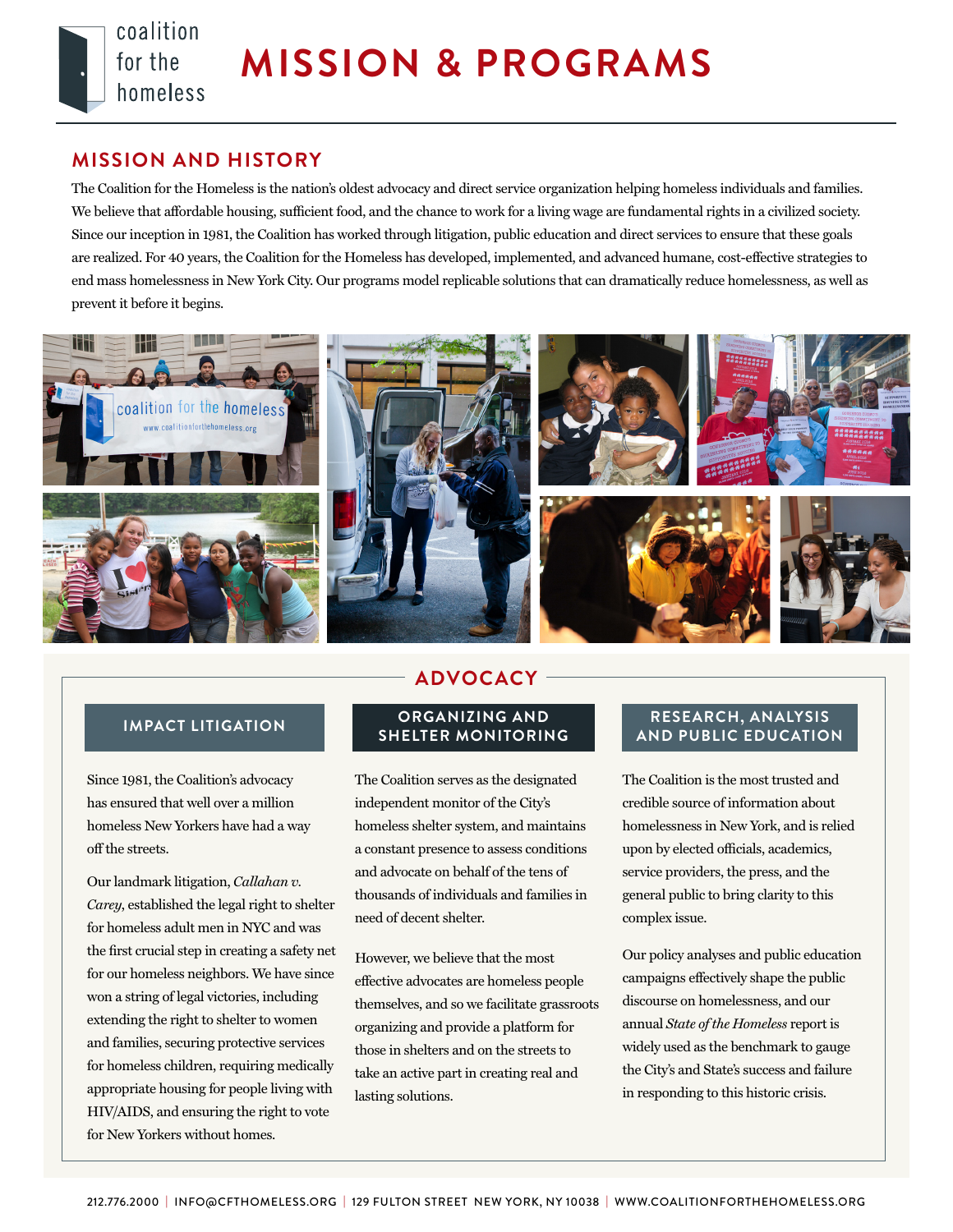

# **MISSION AND HISTORY**

coalition

homeless

for the

The Coalition for the Homeless is the nation's oldest advocacy and direct service organization helping homeless individuals and families. We believe that affordable housing, sufficient food, and the chance to work for a living wage are fundamental rights in a civilized society. Since our inception in 1981, the Coalition has worked through litigation, public education and direct services to ensure that these goals are realized. For 40 years, the Coalition for the Homeless has developed, implemented, and advanced humane, cost-effective strategies to end mass homelessness in New York City. Our programs model replicable solutions that can dramatically reduce homelessness, as well as prevent it before it begins.



Since 1981, the Coalition's advocacy has ensured that well over a million homeless New Yorkers have had a way off the streets.

Our landmark litigation, *Callahan v. Carey*, established the legal right to shelter for homeless adult men in NYC and was the first crucial step in creating a safety net for our homeless neighbors. We have since won a string of legal victories, including extending the right to shelter to women and families, securing protective services for homeless children, requiring medically appropriate housing for people living with HIV/AIDS, and ensuring the right to vote for New Yorkers without homes.

# **ADVOCACY**

#### **IMPACT LITIGATION ORGANIZING AND SHELTER MONITORING**

The Coalition serves as the designated independent monitor of the City's homeless shelter system, and maintains a constant presence to assess conditions and advocate on behalf of the tens of thousands of individuals and families in need of decent shelter.

However, we believe that the most effective advocates are homeless people themselves, and so we facilitate grassroots organizing and provide a platform for those in shelters and on the streets to take an active part in creating real and lasting solutions.

### **RESEARCH, ANALYSIS AND PUBLIC EDUCATION**

The Coalition is the most trusted and credible source of information about homelessness in New York, and is relied upon by elected officials, academics, service providers, the press, and the general public to bring clarity to this complex issue.

Our policy analyses and public education campaigns effectively shape the public discourse on homelessness, and our annual *State of the Homeless* report is widely used as the benchmark to gauge the City's and State's success and failure in responding to this historic crisis.